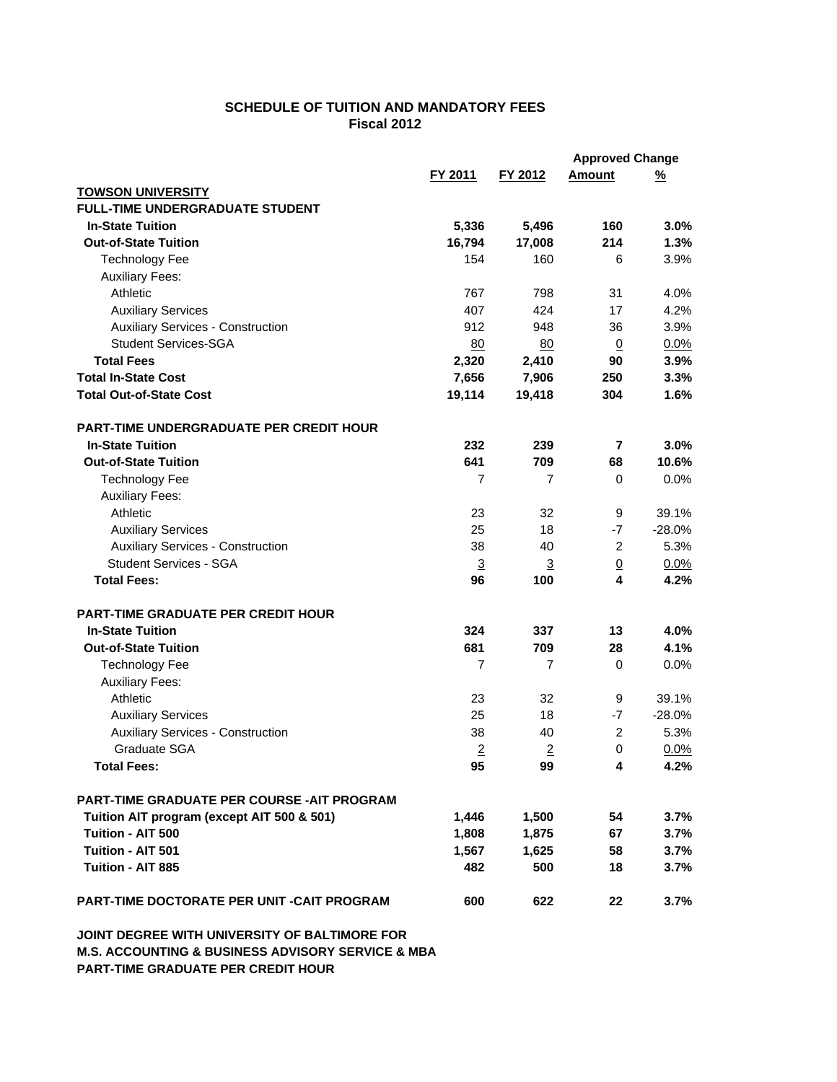## **SCHEDULE OF TUITION AND MANDATORY FEES Fiscal 2012**

|                                                   |                | <b>Approved Change</b> |                 |          |
|---------------------------------------------------|----------------|------------------------|-----------------|----------|
|                                                   | FY 2011        | FY 2012                | <b>Amount</b>   | <u>%</u> |
| <b>TOWSON UNIVERSITY</b>                          |                |                        |                 |          |
| <b>FULL-TIME UNDERGRADUATE STUDENT</b>            |                |                        |                 |          |
| <b>In-State Tuition</b>                           | 5,336          | 5,496                  | 160             | 3.0%     |
| <b>Out-of-State Tuition</b>                       | 16,794         | 17,008                 | 214             | 1.3%     |
| <b>Technology Fee</b>                             | 154            | 160                    | 6               | 3.9%     |
| <b>Auxiliary Fees:</b>                            |                |                        |                 |          |
| Athletic                                          | 767            | 798                    | 31              | 4.0%     |
| <b>Auxiliary Services</b>                         | 407            | 424                    | 17              | 4.2%     |
| <b>Auxiliary Services - Construction</b>          | 912            | 948                    | 36              | 3.9%     |
| <b>Student Services-SGA</b>                       | 80             | 80                     | $\overline{0}$  | 0.0%     |
| <b>Total Fees</b>                                 | 2,320          | 2,410                  | 90              | 3.9%     |
| <b>Total In-State Cost</b>                        | 7,656          | 7,906                  | 250             | 3.3%     |
| <b>Total Out-of-State Cost</b>                    | 19,114         | 19,418                 | 304             | 1.6%     |
| <b>PART-TIME UNDERGRADUATE PER CREDIT HOUR</b>    |                |                        |                 |          |
| <b>In-State Tuition</b>                           | 232            | 239                    | 7               | 3.0%     |
| <b>Out-of-State Tuition</b>                       | 641            | 709                    |                 | 10.6%    |
|                                                   |                |                        | 68              |          |
| <b>Technology Fee</b>                             | $\overline{7}$ | 7                      | $\mathbf 0$     | 0.0%     |
| <b>Auxiliary Fees:</b>                            |                |                        |                 |          |
| Athletic                                          | 23             | 32                     | 9               | 39.1%    |
| <b>Auxiliary Services</b>                         | 25             | 18                     | $-7$            | $-28.0%$ |
| <b>Auxiliary Services - Construction</b>          | 38             | 40                     | $\overline{c}$  | 5.3%     |
| <b>Student Services - SGA</b>                     | $\overline{3}$ | $\overline{3}$         | $\underline{0}$ | 0.0%     |
| <b>Total Fees:</b>                                | 96             | 100                    | 4               | 4.2%     |
| <b>PART-TIME GRADUATE PER CREDIT HOUR</b>         |                |                        |                 |          |
| <b>In-State Tuition</b>                           | 324            | 337                    | 13              | 4.0%     |
| <b>Out-of-State Tuition</b>                       | 681            | 709                    | 28              | 4.1%     |
| <b>Technology Fee</b>                             | $\overline{7}$ | 7                      | 0               | 0.0%     |
| <b>Auxiliary Fees:</b>                            |                |                        |                 |          |
| Athletic                                          | 23             | 32                     | 9               | 39.1%    |
| <b>Auxiliary Services</b>                         | 25             | 18                     | $-7$            | $-28.0%$ |
| <b>Auxiliary Services - Construction</b>          | 38             | 40                     | 2               | 5.3%     |
| Graduate SGA                                      | $\overline{2}$ | $\overline{2}$         | $\mathbf 0$     | 0.0%     |
| <b>Total Fees:</b>                                | 95             | 99                     | 4               | 4.2%     |
|                                                   |                |                        |                 |          |
| <b>PART-TIME GRADUATE PER COURSE -AIT PROGRAM</b> |                |                        |                 |          |
| Tuition AIT program (except AIT 500 & 501)        | 1,446          | 1,500                  | 54              | 3.7%     |
| Tuition - AIT 500                                 | 1,808          | 1,875                  | 67              | 3.7%     |
| Tuition - AIT 501                                 | 1,567          | 1,625                  | 58              | 3.7%     |
| Tuition - AIT 885                                 | 482            | 500                    | 18              | 3.7%     |
| <b>PART-TIME DOCTORATE PER UNIT -CAIT PROGRAM</b> | 600            | 622                    | 22              | 3.7%     |

**JOINT DEGREE WITH UNIVERSITY OF BALTIMORE FOR M.S. ACCOUNTING & BUSINESS ADVISORY SERVICE & MBA PART-TIME GRADUATE PER CREDIT HOUR**